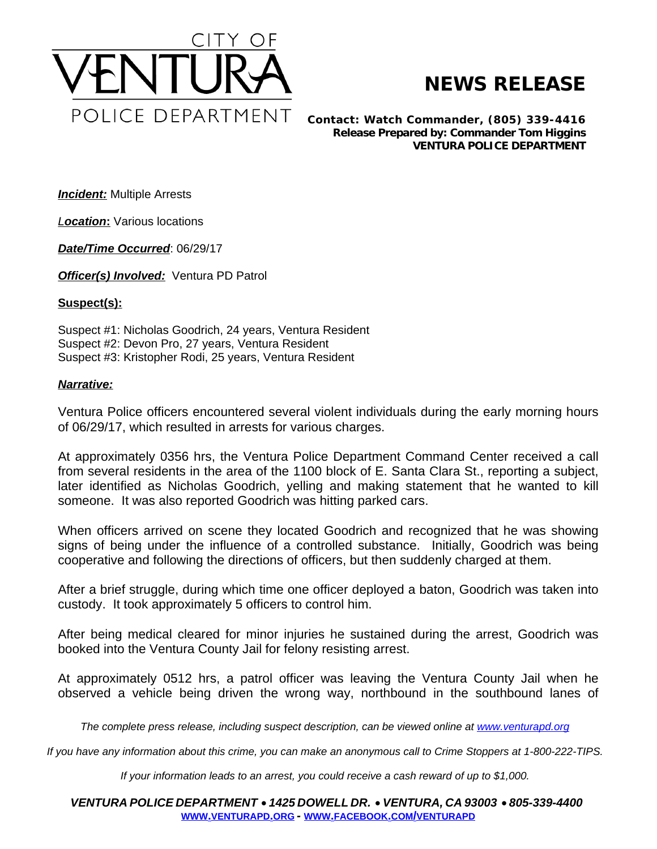

## **NEWS RELEASE**

*Contact: Watch Commander, (805) 339-4416 Release Prepared by: Commander Tom Higgins* **VENTURA POLICE DEPARTMENT**

*Incident:* Multiple Arrests

*Location***:** Various locations

*Date/Time Occurred*: 06/29/17

*Officer(s) Involved:* Ventura PD Patrol

## **Suspect(s):**

Suspect #1: Nicholas Goodrich, 24 years, Ventura Resident Suspect #2: Devon Pro, 27 years, Ventura Resident Suspect #3: Kristopher Rodi, 25 years, Ventura Resident

## *Narrative:*

Ventura Police officers encountered several violent individuals during the early morning hours of 06/29/17, which resulted in arrests for various charges.

At approximately 0356 hrs, the Ventura Police Department Command Center received a call from several residents in the area of the 1100 block of E. Santa Clara St., reporting a subject, later identified as Nicholas Goodrich, yelling and making statement that he wanted to kill someone. It was also reported Goodrich was hitting parked cars.

When officers arrived on scene they located Goodrich and recognized that he was showing signs of being under the influence of a controlled substance. Initially, Goodrich was being cooperative and following the directions of officers, but then suddenly charged at them.

After a brief struggle, during which time one officer deployed a baton, Goodrich was taken into custody. It took approximately 5 officers to control him.

After being medical cleared for minor injuries he sustained during the arrest, Goodrich was booked into the Ventura County Jail for felony resisting arrest.

At approximately 0512 hrs, a patrol officer was leaving the Ventura County Jail when he observed a vehicle being driven the wrong way, northbound in the southbound lanes of

The complete press release, including suspect description, can be viewed online at [www.venturapd.org](http://www.venturapd.org)

*If you have any information about this crime, you can make an anonymous call to Crime Stoppers at 1-800-222-TIPS.*

*If your information leads to an arrest, you could receive a cash reward of up to \$1,000.*

*VENTURA POLICE DEPARTMENT* · *1425 DOWELL DR.* · *VENTURA, CA 93003* · *805-339-4400* **WWW.[VENTURAPD](http://www.venturapd.org).ORG** *-* **WWW.FACEBOOK.COM/[VENTURAPD](http://www.facebook.com/venturapd)**